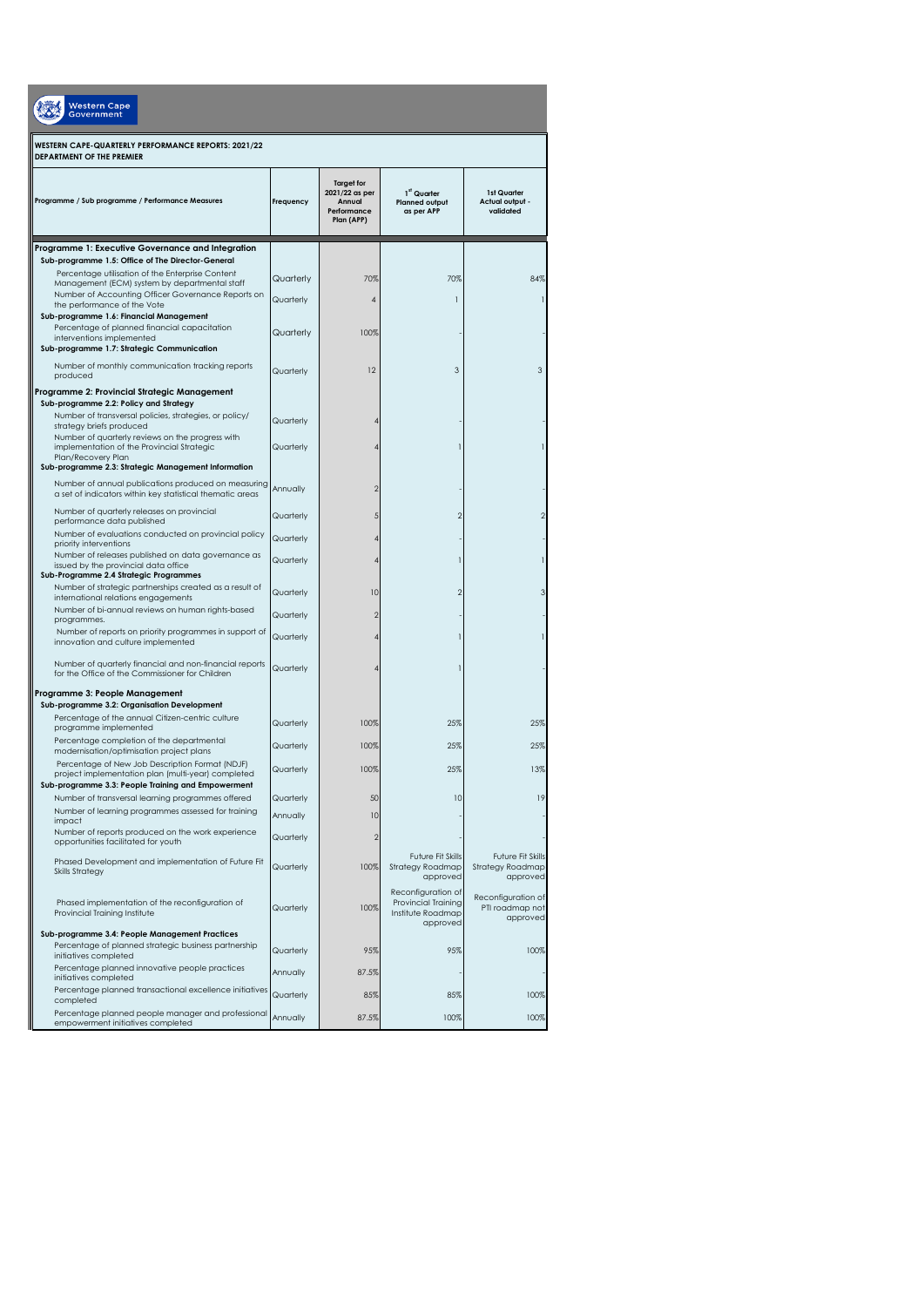| <b>Western Cape</b><br>Government                                                                                                                                       |           |                                                                            |                                                                                   |                                                          |  |  |  |
|-------------------------------------------------------------------------------------------------------------------------------------------------------------------------|-----------|----------------------------------------------------------------------------|-----------------------------------------------------------------------------------|----------------------------------------------------------|--|--|--|
| WESTERN CAPE-QUARTERLY PERFORMANCE REPORTS: 2021/22<br>DEPARTMENT OF THE PREMIER                                                                                        |           |                                                                            |                                                                                   |                                                          |  |  |  |
| Programme / Sub programme / Performance Measures                                                                                                                        | Frequency | <b>Target for</b><br>2021/22 as per<br>Annual<br>Performance<br>Plan (APP) | 1st Quarter<br><b>Planned output</b><br>as per APP                                | 1st Quarter<br>Actual output -<br>validated              |  |  |  |
| Programme 1: Executive Governance and Integration                                                                                                                       |           |                                                                            |                                                                                   |                                                          |  |  |  |
| Sub-programme 1.5: Office of The Director-General<br>Percentage utilisation of the Enterprise Content<br>Management (ECM) system by departmental staff                  | Quarterly | 70%                                                                        | 70%                                                                               | 84%                                                      |  |  |  |
| Number of Accounting Officer Governance Reports on<br>the performance of the Vote                                                                                       | Quarterly | $\overline{4}$                                                             | 1                                                                                 | $\mathbf{I}$                                             |  |  |  |
| Sub-programme 1.6: Financial Management<br>Percentage of planned financial capacitation<br>interventions implemented<br>Sub-programme 1.7: Strategic Communication      | Quarterly | 100%                                                                       |                                                                                   |                                                          |  |  |  |
| Number of monthly communication tracking reports<br>produced                                                                                                            | Quarterly | 12                                                                         | 3                                                                                 | 3                                                        |  |  |  |
| Programme 2: Provincial Strategic Management<br>Sub-programme 2.2: Policy and Strategy                                                                                  |           |                                                                            |                                                                                   |                                                          |  |  |  |
| Number of transversal policies, strategies, or policy/<br>strategy briefs produced                                                                                      | Quarterly | 4                                                                          |                                                                                   |                                                          |  |  |  |
| Number of quarterly reviews on the progress with<br>implementation of the Provincial Strategic<br>Plan/Recovery Plan                                                    | Quarterly | 4                                                                          |                                                                                   | $\mathbf{1}$                                             |  |  |  |
| Sub-programme 2.3: Strategic Management Information<br>Number of annual publications produced on measuring<br>a set of indicators within key statistical thematic areas | Annually  | $\overline{2}$                                                             |                                                                                   |                                                          |  |  |  |
| Number of quarterly releases on provincial<br>performance data published                                                                                                | Quarterly | 5                                                                          | $\overline{2}$                                                                    | $\overline{2}$                                           |  |  |  |
| Number of evaluations conducted on provincial policy                                                                                                                    | Quarterly | 4                                                                          |                                                                                   |                                                          |  |  |  |
| priority interventions<br>Number of releases published on data governance as<br>issued by the provincial data office                                                    | Quarterly | 4                                                                          |                                                                                   | $\mathbf{1}$                                             |  |  |  |
| Sub-Programme 2.4 Strategic Programmes<br>Number of strategic partnerships created as a result of<br>international relations engagements                                | Quarterly | 10                                                                         | $\overline{2}$                                                                    | 3                                                        |  |  |  |
| Number of bi-annual reviews on human rights-based<br>programmes.                                                                                                        | Quarterly | $\overline{2}$                                                             |                                                                                   |                                                          |  |  |  |
| Number of reports on priority programmes in support of<br>innovation and culture implemented                                                                            | Quarterly | 4                                                                          |                                                                                   | $\mathbf{1}$                                             |  |  |  |
| Number of quarterly financial and non-financial reports<br>for the Office of the Commissioner for Children                                                              | Quarterly | 4                                                                          |                                                                                   |                                                          |  |  |  |
| Programme 3: People Management<br>Sub-programme 3.2: Organisation Development                                                                                           |           |                                                                            |                                                                                   |                                                          |  |  |  |
| Percentage of the annual Citizen-centric culture                                                                                                                        | Quarterly | 100%                                                                       | 25%                                                                               | 25%                                                      |  |  |  |
| programme implemented<br>Percentage completion of the departmental                                                                                                      |           |                                                                            |                                                                                   |                                                          |  |  |  |
| modernisation/optimisation project plans                                                                                                                                | Quarterly | 100%                                                                       | 25%                                                                               | 25%                                                      |  |  |  |
| Percentage of New Job Description Format (NDJF)<br>project implementation plan (multi-year) completed<br>Sub-programme 3.3: People Training and Empowerment             | Quarterly | 100%                                                                       | 25%                                                                               | 13%                                                      |  |  |  |
| Number of transversal learning programmes offered                                                                                                                       | Quarterly | 50                                                                         | 10                                                                                | 19                                                       |  |  |  |
| Number of learning programmes assessed for training<br>impact                                                                                                           | Annually  | 10                                                                         |                                                                                   |                                                          |  |  |  |
| Number of reports produced on the work experience<br>opportunities facilitated for youth                                                                                | Quarterly | $\overline{2}$                                                             |                                                                                   |                                                          |  |  |  |
| Phased Development and implementation of Future Fit<br><b>Skills Strategy</b>                                                                                           | Quarterly | 100%                                                                       | <b>Future Fit Skills</b><br>Strategy Roadmap<br>approved                          | <b>Future Fit Skills</b><br>Strategy Roadmap<br>approved |  |  |  |
| Phased implementation of the reconfiguration of<br>Provincial Training Institute                                                                                        | Quarterly | 100%                                                                       | Reconfiguration of<br><b>Provincial Training</b><br>Institute Roadmap<br>approved | Reconfiguration of<br>PTI roadmap not<br>approved        |  |  |  |
| Sub-programme 3.4: People Management Practices<br>Percentage of planned strategic business partnership<br>initiatives completed                                         | Quarterly | 95%                                                                        | 95%                                                                               | 100%                                                     |  |  |  |
| Percentage planned innovative people practices<br>initiatives completed                                                                                                 | Annually  | 87.5%                                                                      |                                                                                   |                                                          |  |  |  |
| Percentage planned transactional excellence initiatives<br>completed                                                                                                    | Quarterly | 85%                                                                        | 85%                                                                               | 100%                                                     |  |  |  |
| Percentage planned people manager and professional<br>empowerment initiatives completed                                                                                 | Annually  | 87.5%                                                                      | 100%                                                                              | 100%                                                     |  |  |  |